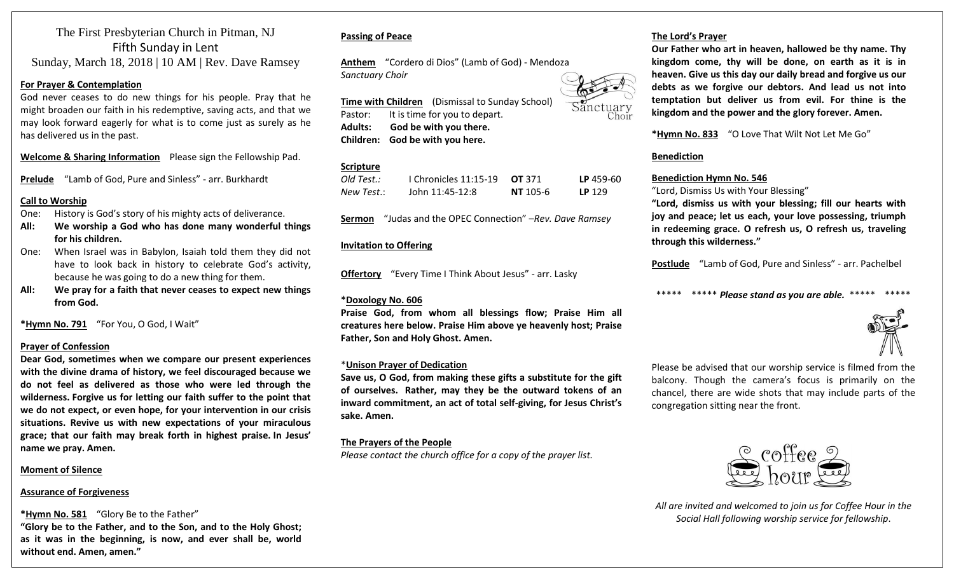### The First Presbyterian Church in Pitman, NJ Fifth Sunday in Lent Sunday, March 18, 2018 | 10 AM | Rev. Dave Ramsey

#### **For Prayer & Contemplation**

God never ceases to do new things for his people. Pray that he might broaden our faith in his redemptive, saving acts, and that we may look forward eagerly for what is to come just as surely as he has delivered us in the past.

**Welcome & Sharing Information** Please sign the Fellowship Pad.

**Prelude** "Lamb of God, Pure and Sinless" - arr. Burkhardt

#### **Call to Worship**

- One: History is God's story of his mighty acts of deliverance.
- **All: We worship a God who has done many wonderful things for his children.**
- One: When Israel was in Babylon, Isaiah told them they did not have to look back in history to celebrate God's activity, because he was going to do a new thing for them.
- **All: We pray for a faith that never ceases to expect new things from God.**

**\*Hymn No. 791** "For You, O God, I Wait"

#### **Prayer of Confession**

**Dear God, sometimes when we compare our present experiences with the divine drama of history, we feel discouraged because we do not feel as delivered as those who were led through the wilderness. Forgive us for letting our faith suffer to the point that we do not expect, or even hope, for your intervention in our crisis situations. Revive us with new expectations of your miraculous grace; that our faith may break forth in highest praise. In Jesus' name we pray. Amen.**

#### **Moment of Silence**

#### **Assurance of Forgiveness**

**\*Hymn No. 581** "Glory Be to the Father"

**"Glory be to the Father, and to the Son, and to the Holy Ghost; as it was in the beginning, is now, and ever shall be, world without end. Amen, amen."**

#### **Passing of Peace**

**Anthem** "Cordero di Dios" (Lamb of God) - Mendoza *Sanctuary Choir*

**Time with Children** (Dismissal to Sunday School) Pastor: It is time for you to depart. **Adults: God be with you there. Children: God be with you here.**

#### **Scripture**

| Old Test.: | 1 Chronicles $11:15-19$ OT 371 |                 | LP 459-60 |
|------------|--------------------------------|-----------------|-----------|
| New Test.: | John 11:45-12:8                | <b>NT</b> 105-6 | LP 129    |

**Sermon** "Judas and the OPEC Connection" –*Rev. Dave Ramsey*

#### **Invitation to Offering**

**Offertory** "Every Time I Think About Jesus" - arr. Lasky

#### **\*Doxology No. 606**

**Praise God, from whom all blessings flow; Praise Him all creatures here below. Praise Him above ye heavenly host; Praise Father, Son and Holy Ghost. Amen.**

#### \***Unison Prayer of Dedication**

**Save us, O God, from making these gifts a substitute for the gift of ourselves. Rather, may they be the outward tokens of an inward commitment, an act of total self-giving, for Jesus Christ's sake. Amen.**

#### **The Prayers of the People**

*Please contact the church office for a copy of the prayer list.*

#### **The Lord's Prayer**

**Our Father who art in heaven, hallowed be thy name. Thy kingdom come, thy will be done, on earth as it is in heaven. Give us this day our daily bread and forgive us our debts as we forgive our debtors. And lead us not into temptation but deliver us from evil. For thine is the kingdom and the power and the glory forever. Amen.** 

#### **\*Hymn No. 833** "O Love That Wilt Not Let Me Go"

#### **Benediction**

#### **Benediction Hymn No. 546**

"Lord, Dismiss Us with Your Blessing"

**"Lord, dismiss us with your blessing; fill our hearts with joy and peace; let us each, your love possessing, triumph in redeeming grace. O refresh us, O refresh us, traveling through this wilderness."**

**Postlude** "Lamb of God, Pure and Sinless" - arr. Pachelbel

#### \*\*\*\*\* \*\*\*\*\* *Please stand as you are able.* \*\*\*\*\* \*\*\*\*\*



Please be advised that our worship service is filmed from the balcony. Though the camera's focus is primarily on the chancel, there are wide shots that may include parts of the congregation sitting near the front.



*All are invited and welcomed to join us for Coffee Hour in the Social Hall following worship service for fellowship*.